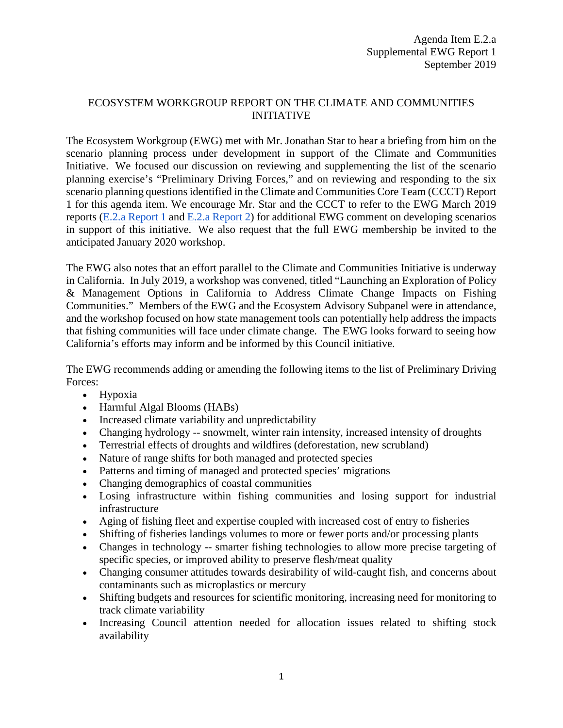## ECOSYSTEM WORKGROUP REPORT ON THE CLIMATE AND COMMUNITIES INITIATIVE

The Ecosystem Workgroup (EWG) met with Mr. Jonathan Star to hear a briefing from him on the scenario planning process under development in support of the Climate and Communities Initiative. We focused our discussion on reviewing and supplementing the list of the scenario planning exercise's "Preliminary Driving Forces," and on reviewing and responding to the six scenario planning questions identified in the Climate and Communities Core Team (CCCT) Report 1 for this agenda item. We encourage Mr. Star and the CCCT to refer to the EWG March 2019 reports [\(E.2.a Report 1](https://www.pcouncil.org/wp-content/uploads/2019/02/E2a_EWG_Rpt1_CCI_MAR2019BB.pdf) and [E.2.a Report 2\)](https://www.pcouncil.org/wp-content/uploads/2019/03/E2a_Supp_EWG_Rpt2_MAR2019BB.pdf) for additional EWG comment on developing scenarios in support of this initiative. We also request that the full EWG membership be invited to the anticipated January 2020 workshop.

The EWG also notes that an effort parallel to the Climate and Communities Initiative is underway in California. In July 2019, a workshop was convened, titled "Launching an Exploration of Policy & Management Options in California to Address Climate Change Impacts on Fishing Communities." Members of the EWG and the Ecosystem Advisory Subpanel were in attendance, and the workshop focused on how state management tools can potentially help address the impacts that fishing communities will face under climate change. The EWG looks forward to seeing how California's efforts may inform and be informed by this Council initiative.

The EWG recommends adding or amending the following items to the list of Preliminary Driving Forces:

- Hypoxia
- Harmful Algal Blooms (HABs)
- Increased climate variability and unpredictability
- Changing hydrology -- snowmelt, winter rain intensity, increased intensity of droughts
- Terrestrial effects of droughts and wildfires (deforestation, new scrubland)
- Nature of range shifts for both managed and protected species
- Patterns and timing of managed and protected species' migrations
- Changing demographics of coastal communities
- Losing infrastructure within fishing communities and losing support for industrial infrastructure
- Aging of fishing fleet and expertise coupled with increased cost of entry to fisheries
- Shifting of fisheries landings volumes to more or fewer ports and/or processing plants
- Changes in technology -- smarter fishing technologies to allow more precise targeting of specific species, or improved ability to preserve flesh/meat quality
- Changing consumer attitudes towards desirability of wild-caught fish, and concerns about contaminants such as microplastics or mercury
- Shifting budgets and resources for scientific monitoring, increasing need for monitoring to track climate variability
- Increasing Council attention needed for allocation issues related to shifting stock availability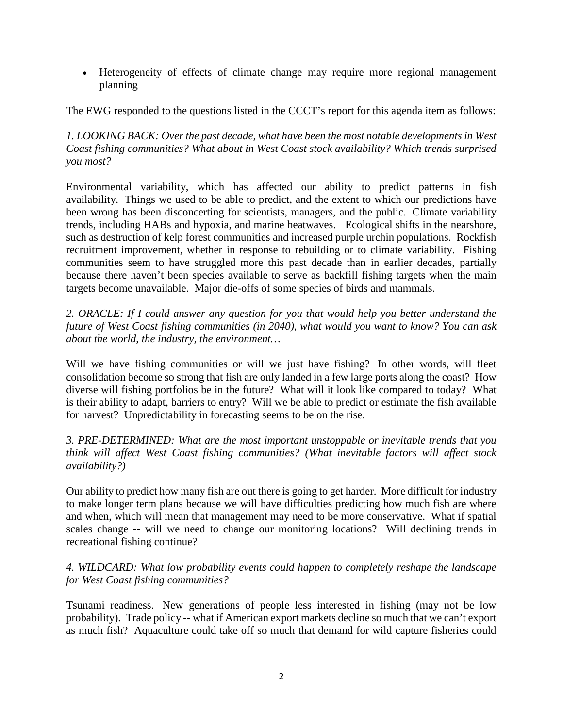• Heterogeneity of effects of climate change may require more regional management planning

The EWG responded to the questions listed in the CCCT's report for this agenda item as follows:

*1. LOOKING BACK: Over the past decade, what have been the most notable developments in West Coast fishing communities? What about in West Coast stock availability? Which trends surprised you most?*

Environmental variability, which has affected our ability to predict patterns in fish availability. Things we used to be able to predict, and the extent to which our predictions have been wrong has been disconcerting for scientists, managers, and the public. Climate variability trends, including HABs and hypoxia, and marine heatwaves. Ecological shifts in the nearshore, such as destruction of kelp forest communities and increased purple urchin populations. Rockfish recruitment improvement, whether in response to rebuilding or to climate variability. Fishing communities seem to have struggled more this past decade than in earlier decades, partially because there haven't been species available to serve as backfill fishing targets when the main targets become unavailable. Major die-offs of some species of birds and mammals.

*2. ORACLE: If I could answer any question for you that would help you better understand the future of West Coast fishing communities (in 2040), what would you want to know? You can ask about the world, the industry, the environment…*

Will we have fishing communities or will we just have fishing? In other words, will fleet consolidation become so strong that fish are only landed in a few large ports along the coast? How diverse will fishing portfolios be in the future? What will it look like compared to today? What is their ability to adapt, barriers to entry? Will we be able to predict or estimate the fish available for harvest? Unpredictability in forecasting seems to be on the rise.

*3. PRE-DETERMINED: What are the most important unstoppable or inevitable trends that you think will affect West Coast fishing communities? (What inevitable factors will affect stock availability?)*

Our ability to predict how many fish are out there is going to get harder. More difficult for industry to make longer term plans because we will have difficulties predicting how much fish are where and when, which will mean that management may need to be more conservative. What if spatial scales change -- will we need to change our monitoring locations? Will declining trends in recreational fishing continue?

## *4. WILDCARD: What low probability events could happen to completely reshape the landscape for West Coast fishing communities?*

Tsunami readiness. New generations of people less interested in fishing (may not be low probability). Trade policy -- what if American export markets decline so much that we can't export as much fish? Aquaculture could take off so much that demand for wild capture fisheries could